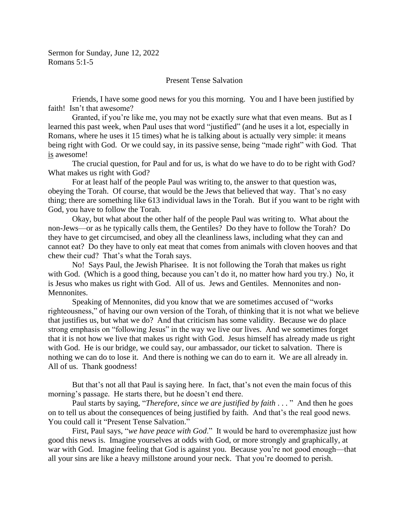## Present Tense Salvation

Friends, I have some good news for you this morning. You and I have been justified by faith! Isn't that awesome?

Granted, if you're like me, you may not be exactly sure what that even means. But as I learned this past week, when Paul uses that word "justified" (and he uses it a lot, especially in Romans, where he uses it 15 times) what he is talking about is actually very simple: it means being right with God. Or we could say, in its passive sense, being "made right" with God. That is awesome!

The crucial question, for Paul and for us, is what do we have to do to be right with God? What makes us right with God?

For at least half of the people Paul was writing to, the answer to that question was, obeying the Torah. Of course, that would be the Jews that believed that way. That's no easy thing; there are something like 613 individual laws in the Torah. But if you want to be right with God, you have to follow the Torah.

Okay, but what about the other half of the people Paul was writing to. What about the non-Jews—or as he typically calls them, the Gentiles? Do they have to follow the Torah? Do they have to get circumcised, and obey all the cleanliness laws, including what they can and cannot eat? Do they have to only eat meat that comes from animals with cloven hooves and that chew their cud? That's what the Torah says.

No! Says Paul, the Jewish Pharisee. It is not following the Torah that makes us right with God. (Which is a good thing, because you can't do it, no matter how hard you try.) No, it is Jesus who makes us right with God. All of us. Jews and Gentiles. Mennonites and non-Mennonites.

Speaking of Mennonites, did you know that we are sometimes accused of "works righteousness," of having our own version of the Torah, of thinking that it is not what we believe that justifies us, but what we do? And that criticism has some validity. Because we do place strong emphasis on "following Jesus" in the way we live our lives. And we sometimes forget that it is not how we live that makes us right with God. Jesus himself has already made us right with God. He is our bridge, we could say, our ambassador, our ticket to salvation. There is nothing we can do to lose it. And there is nothing we can do to earn it. We are all already in. All of us. Thank goodness!

But that's not all that Paul is saying here. In fact, that's not even the main focus of this morning's passage. He starts there, but he doesn't end there.

Paul starts by saying, "*Therefore*, *since we are justified by faith* . . . " And then he goes on to tell us about the consequences of being justified by faith. And that's the real good news. You could call it "Present Tense Salvation."

First, Paul says, "*we have peace with God*." It would be hard to overemphasize just how good this news is. Imagine yourselves at odds with God, or more strongly and graphically, at war with God. Imagine feeling that God is against you. Because you're not good enough—that all your sins are like a heavy millstone around your neck. That you're doomed to perish.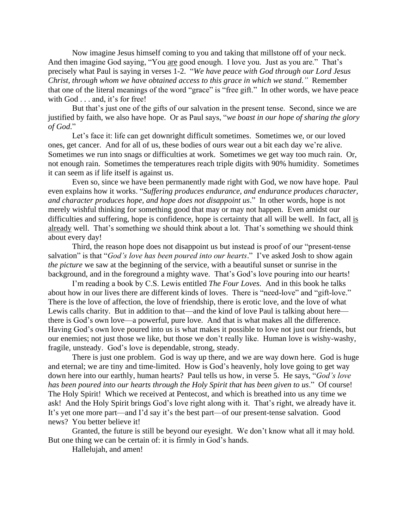Now imagine Jesus himself coming to you and taking that millstone off of your neck. And then imagine God saying, "You are good enough. I love you. Just as you are." That's precisely what Paul is saying in verses 1-2. "*We have peace with God through our Lord Jesus Christ, through whom we have obtained access to this grace in which we stand*.*"* Remember that one of the literal meanings of the word "grace" is "free gift." In other words, we have peace with God . . . and, it's for free!

But that's just one of the gifts of our salvation in the present tense. Second, since we are justified by faith, we also have hope. Or as Paul says, "*we boast in our hope of sharing the glory of God*."

Let's face it: life can get downright difficult sometimes. Sometimes we, or our loved ones, get cancer. And for all of us, these bodies of ours wear out a bit each day we're alive. Sometimes we run into snags or difficulties at work. Sometimes we get way too much rain. Or, not enough rain. Sometimes the temperatures reach triple digits with 90% humidity. Sometimes it can seem as if life itself is against us.

Even so, since we have been permanently made right with God, we now have hope. Paul even explains how it works. "*Suffering produces endurance, and endurance produces character, and character produces hope, and hope does not disappoint us*." In other words, hope is not merely wishful thinking for something good that may or may not happen. Even amidst our difficulties and suffering, hope is confidence, hope is certainty that all will be well. In fact, all is already well. That's something we should think about a lot. That's something we should think about every day!

Third, the reason hope does not disappoint us but instead is proof of our "present-tense salvation" is that "*God's love has been poured into our hearts*." I've asked Josh to show again *the picture* we saw at the beginning of the service, with a beautiful sunset or sunrise in the background, and in the foreground a mighty wave. That's God's love pouring into our hearts!

I'm reading a book by C.S. Lewis entitled *The Four Loves.* And in this book he talks about how in our lives there are different kinds of loves. There is "need-love" and "gift-love." There is the love of affection, the love of friendship, there is erotic love, and the love of what Lewis calls charity. But in addition to that—and the kind of love Paul is talking about here there is God's own love—a powerful, pure love. And that is what makes all the difference. Having God's own love poured into us is what makes it possible to love not just our friends, but our enemies; not just those we like, but those we don't really like. Human love is wishy-washy, fragile, unsteady. God's love is dependable, strong, steady.

There is just one problem. God is way up there, and we are way down here. God is huge and eternal; we are tiny and time-limited. How is God's heavenly, holy love going to get way down here into our earthly, human hearts? Paul tells us how, in verse 5. He says, "*God's love has been poured into our hearts through the Holy Spirit that has been given to us*." Of course! The Holy Spirit! Which we received at Pentecost, and which is breathed into us any time we ask! And the Holy Spirit brings God's love right along with it. That's right, we already have it. It's yet one more part—and I'd say it's the best part—of our present-tense salvation. Good news? You better believe it!

Granted, the future is still be beyond our eyesight. We don't know what all it may hold. But one thing we can be certain of: it is firmly in God's hands.

Hallelujah, and amen!